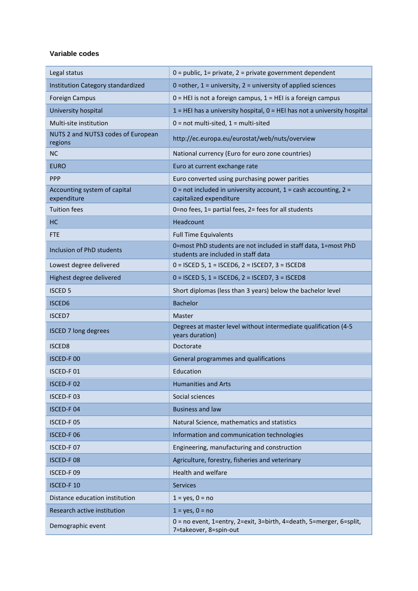## **Variable codes**

| Legal status                                  | $0 =$ public, 1= private, 2 = private government dependent                                            |
|-----------------------------------------------|-------------------------------------------------------------------------------------------------------|
| Institution Category standardized             | 0 = other, $1 =$ university, $2 =$ university of applied sciences                                     |
| <b>Foreign Campus</b>                         | $0 = HEI$ is not a foreign campus, $1 = HEI$ is a foreign campus                                      |
| University hospital                           | $1$ = HEI has a university hospital, $0$ = HEI has not a university hospital                          |
| Multi-site institution                        | $0 = not$ multi-sited, $1 =$ multi-sited                                                              |
| NUTS 2 and NUTS3 codes of European<br>regions | http://ec.europa.eu/eurostat/web/nuts/overview                                                        |
| <b>NC</b>                                     | National currency (Euro for euro zone countries)                                                      |
| <b>EURO</b>                                   | Euro at current exchange rate                                                                         |
| <b>PPP</b>                                    | Euro converted using purchasing power parities                                                        |
| Accounting system of capital<br>expenditure   | $0 =$ not included in university account, $1 =$ cash accounting, $2 =$<br>capitalized expenditure     |
| <b>Tuition fees</b>                           | 0=no fees, 1= partial fees, 2= fees for all students                                                  |
| НC                                            | Headcount                                                                                             |
| <b>FTE</b>                                    | <b>Full Time Equivalents</b>                                                                          |
| Inclusion of PhD students                     | 0=most PhD students are not included in staff data, 1=most PhD<br>students are included in staff data |
| Lowest degree delivered                       | $0 =$ ISCED 5, 1 = ISCED6, 2 = ISCED7, 3 = ISCED8                                                     |
| Highest degree delivered                      | $0 =$ ISCED 5, 1 = ISCED6, 2 = ISCED7, 3 = ISCED8                                                     |
| <b>ISCED 5</b>                                | Short diplomas (less than 3 years) below the bachelor level                                           |
| <b>ISCED6</b>                                 | <b>Bachelor</b>                                                                                       |
| <b>ISCED7</b>                                 | Master                                                                                                |
| <b>ISCED 7 long degrees</b>                   | Degrees at master level without intermediate qualification (4-5<br>years duration)                    |
| <b>ISCED8</b>                                 | Doctorate                                                                                             |
| ISCED-F00                                     | General programmes and qualifications                                                                 |
| ISCED-F01                                     | Education                                                                                             |
| ISCED-F02                                     | <b>Humanities and Arts</b>                                                                            |
| ISCED-F03                                     | Social sciences                                                                                       |
| <b>ISCED-F04</b>                              | <b>Business and law</b>                                                                               |
| ISCED-F05                                     | Natural Science, mathematics and statistics                                                           |
| ISCED-F06                                     | Information and communication technologies                                                            |
| ISCED-F07                                     | Engineering, manufacturing and construction                                                           |
| ISCED-F08                                     | Agriculture, forestry, fisheries and veterinary                                                       |
| ISCED-F09                                     | Health and welfare                                                                                    |
| ISCED-F 10                                    | <b>Services</b>                                                                                       |
| Distance education institution                | $1 = yes, 0 = no$                                                                                     |
| Research active institution                   | $1 = yes, 0 = no$                                                                                     |
| Demographic event                             | 0 = no event, 1=entry, 2=exit, 3=birth, 4=death, 5=merger, 6=split,<br>7=takeover, 8=spin-out         |